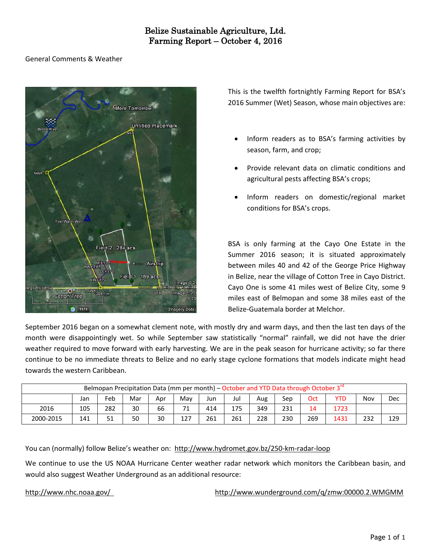# General Comments & Weather



This is the twelfth fortnightly Farming Report for BSA's 2016 Summer (Wet) Season, whose main objectives are:

- Inform readers as to BSA's farming activities by season, farm, and crop;
- Provide relevant data on climatic conditions and agricultural pests affecting BSA's crops;
- Inform readers on domestic/regional market conditions for BSA's crops.

BSA is only farming at the Cayo One Estate in the Summer 2016 season; it is situated approximately between miles 40 and 42 of the George Price Highway in Belize, near the village of Cotton Tree in Cayo District. Cayo One is some 41 miles west of Belize City, some 9 miles east of Belmopan and some 38 miles east of the Belize-Guatemala border at Melchor.

September 2016 began on a somewhat clement note, with mostly dry and warm days, and then the last ten days of the month were disappointingly wet. So while September saw statistically "normal" rainfall, we did not have the drier weather required to move forward with early harvesting. We are in the peak season for hurricane activity; so far there continue to be no immediate threats to Belize and no early stage cyclone formations that models indicate might head towards the western Caribbean.

|           |     |     |     |     |     |     | Belmopan Precipitation Data (mm per month) – October and YTD Data through October 3 <sup>rd</sup> |     |     |     |            |     |     |
|-----------|-----|-----|-----|-----|-----|-----|---------------------------------------------------------------------------------------------------|-----|-----|-----|------------|-----|-----|
|           | Jan | Feb | Mar | Apr | Mav | Jun | Jul                                                                                               | Aug | Sep | Oct | <b>YTD</b> | Nov | Dec |
| 2016      | 105 | 282 | 30  | 66  | 71  | 414 | 175                                                                                               | 349 | 231 | 14  | 1723       |     |     |
| 2000-2015 | 141 | 51  | 50  | 30  | 127 | 261 | 261                                                                                               | 228 | 230 | 269 | 1431       | 232 | 129 |

You can (normally) follow Belize's weather on: <http://www.hydromet.gov.bz/250-km-radar-loop>

We continue to use the US NOAA Hurricane Center weather radar network which monitors the Caribbean basin, and would also suggest Weather Underground as an additional resource:

<http://www.nhc.noaa.gov/><http://www.wunderground.com/q/zmw:00000.2.WMGMM>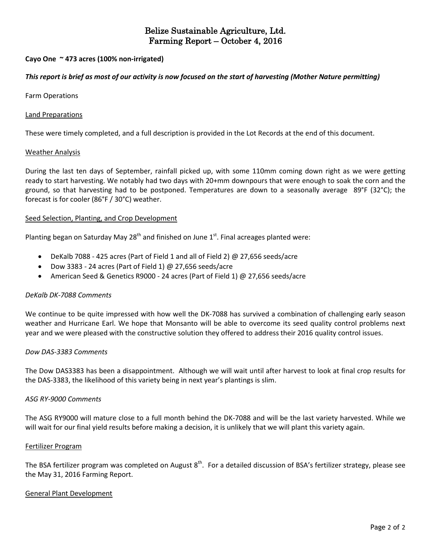# **Cayo One ~ 473 acres (100% non-irrigated)**

## This report is brief as most of our activity is now focused on the start of harvesting (Mother Nature permitting)

Farm Operations

#### Land Preparations

These were timely completed, and a full description is provided in the Lot Records at the end of this document.

#### Weather Analysis

During the last ten days of September, rainfall picked up, with some 110mm coming down right as we were getting ready to start harvesting. We notably had two days with 20+mm downpours that were enough to soak the corn and the ground, so that harvesting had to be postponed. Temperatures are down to a seasonally average 89°F (32°C); the forecast is for cooler (86°F / 30°C) weather.

## Seed Selection, Planting, and Crop Development

Planting began on Saturday May 28<sup>th</sup> and finished on June 1<sup>st</sup>. Final acreages planted were:

- DeKalb 7088 425 acres (Part of Field 1 and all of Field 2) @ 27,656 seeds/acre
- Dow 3383 24 acres (Part of Field 1) @ 27,656 seeds/acre
- American Seed & Genetics R9000 24 acres (Part of Field 1) @ 27,656 seeds/acre

## *DeKalb DK-7088 Comments*

We continue to be quite impressed with how well the DK-7088 has survived a combination of challenging early season weather and Hurricane Earl. We hope that Monsanto will be able to overcome its seed quality control problems next year and we were pleased with the constructive solution they offered to address their 2016 quality control issues.

## *Dow DAS-3383 Comments*

The Dow DAS3383 has been a disappointment. Although we will wait until after harvest to look at final crop results for the DAS-3383, the likelihood of this variety being in next year's plantings is slim.

#### *ASG RY-9000 Comments*

The ASG RY9000 will mature close to a full month behind the DK-7088 and will be the last variety harvested. While we will wait for our final yield results before making a decision, it is unlikely that we will plant this variety again.

#### Fertilizer Program

The BSA fertilizer program was completed on August 8<sup>th</sup>. For a detailed discussion of BSA's fertilizer strategy, please see the May 31, 2016 Farming Report.

## General Plant Development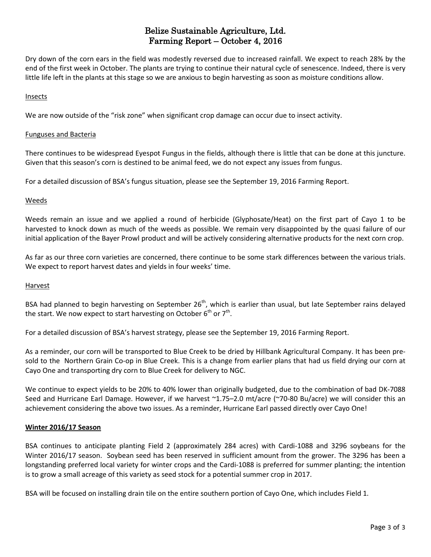Dry down of the corn ears in the field was modestly reversed due to increased rainfall. We expect to reach 28% by the end of the first week in October. The plants are trying to continue their natural cycle of senescence. Indeed, there is very little life left in the plants at this stage so we are anxious to begin harvesting as soon as moisture conditions allow.

### Insects

We are now outside of the "risk zone" when significant crop damage can occur due to insect activity.

#### Funguses and Bacteria

There continues to be widespread Eyespot Fungus in the fields, although there is little that can be done at this juncture. Given that this season's corn is destined to be animal feed, we do not expect any issues from fungus.

For a detailed discussion of BSA's fungus situation, please see the September 19, 2016 Farming Report.

#### Weeds

Weeds remain an issue and we applied a round of herbicide (Glyphosate/Heat) on the first part of Cayo 1 to be harvested to knock down as much of the weeds as possible. We remain very disappointed by the quasi failure of our initial application of the Bayer Prowl product and will be actively considering alternative products for the next corn crop.

As far as our three corn varieties are concerned, there continue to be some stark differences between the various trials. We expect to report harvest dates and yields in four weeks' time.

#### **Harvest**

BSA had planned to begin harvesting on September 26<sup>th</sup>, which is earlier than usual, but late September rains delayed the start. We now expect to start harvesting on October  $6^{\text{th}}$  or  $7^{\text{th}}$ .

For a detailed discussion of BSA's harvest strategy, please see the September 19, 2016 Farming Report.

As a reminder, our corn will be transported to Blue Creek to be dried by Hillbank Agricultural Company. It has been presold to the Northern Grain Co-op in Blue Creek. This is a change from earlier plans that had us field drying our corn at Cayo One and transporting dry corn to Blue Creek for delivery to NGC.

We continue to expect yields to be 20% to 40% lower than originally budgeted, due to the combination of bad DK-7088 Seed and Hurricane Earl Damage. However, if we harvest ~1.75–2.0 mt/acre (~70-80 Bu/acre) we will consider this an achievement considering the above two issues. As a reminder, Hurricane Earl passed directly over Cayo One!

## **Winter 2016/17 Season**

BSA continues to anticipate planting Field 2 (approximately 284 acres) with Cardi-1088 and 3296 soybeans for the Winter 2016/17 season. Soybean seed has been reserved in sufficient amount from the grower. The 3296 has been a longstanding preferred local variety for winter crops and the Cardi-1088 is preferred for summer planting; the intention is to grow a small acreage of this variety as seed stock for a potential summer crop in 2017.

BSA will be focused on installing drain tile on the entire southern portion of Cayo One, which includes Field 1.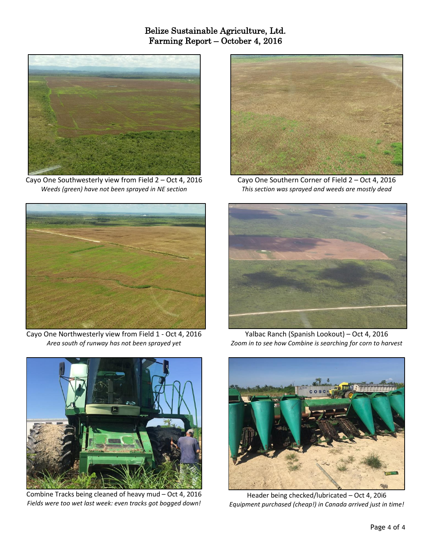

Cayo One Southwesterly view from Field 2 – Oct 4, 2016 *Weeds (green) have not been sprayed in NE section*



Cayo One Northwesterly view from Field 1 - Oct 4, 2016 *Area south of runway has not been sprayed yet*



Combine Tracks being cleaned of heavy mud – Oct 4, 2016 *Fields were too wet last week: even tracks got bogged down!*



Cayo One Southern Corner of Field 2 – Oct 4, 2016 *This section was sprayed and weeds are mostly dead*



Yalbac Ranch (Spanish Lookout) – Oct 4, 2016 *Zoom in to see how Combine is searching for corn to harvest*



Header being checked/lubricated – Oct 4, 20i6 *Equipment purchased (cheap!) in Canada arrived just in time!*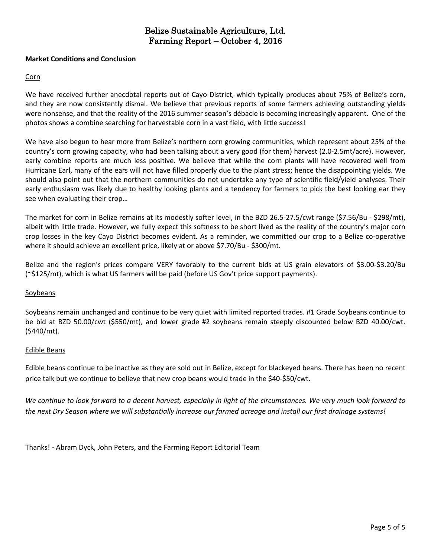## **Market Conditions and Conclusion**

# Corn

We have received further anecdotal reports out of Cayo District, which typically produces about 75% of Belize's corn, and they are now consistently dismal. We believe that previous reports of some farmers achieving outstanding yields were nonsense, and that the reality of the 2016 summer season's débacle is becoming increasingly apparent. One of the photos shows a combine searching for harvestable corn in a vast field, with little success!

We have also begun to hear more from Belize's northern corn growing communities, which represent about 25% of the country's corn growing capacity, who had been talking about a very good (for them) harvest (2.0-2.5mt/acre). However, early combine reports are much less positive. We believe that while the corn plants will have recovered well from Hurricane Earl, many of the ears will not have filled properly due to the plant stress; hence the disappointing yields. We should also point out that the northern communities do not undertake any type of scientific field/yield analyses. Their early enthusiasm was likely due to healthy looking plants and a tendency for farmers to pick the best looking ear they see when evaluating their crop…

The market for corn in Belize remains at its modestly softer level, in the BZD 26.5-27.5/cwt range (\$7.56/Bu - \$298/mt), albeit with little trade. However, we fully expect this softness to be short lived as the reality of the country's major corn crop losses in the key Cayo District becomes evident. As a reminder, we committed our crop to a Belize co-operative where it should achieve an excellent price, likely at or above \$7.70/Bu - \$300/mt.

Belize and the region's prices compare VERY favorably to the current bids at US grain elevators of \$3.00-\$3.20/Bu (~\$125/mt), which is what US farmers will be paid (before US Gov't price support payments).

## Soybeans

Soybeans remain unchanged and continue to be very quiet with limited reported trades. #1 Grade Soybeans continue to be bid at BZD 50.00/cwt (\$550/mt), and lower grade #2 soybeans remain steeply discounted below BZD 40.00/cwt. (\$440/mt).

## Edible Beans

Edible beans continue to be inactive as they are sold out in Belize, except for blackeyed beans. There has been no recent price talk but we continue to believe that new crop beans would trade in the \$40-\$50/cwt.

We continue to look forward to a decent harvest, especially in light of the circumstances. We very much look forward to the next Dry Season where we will substantially increase our farmed acreage and install our first drainage systems!

Thanks! - Abram Dyck, John Peters, and the Farming Report Editorial Team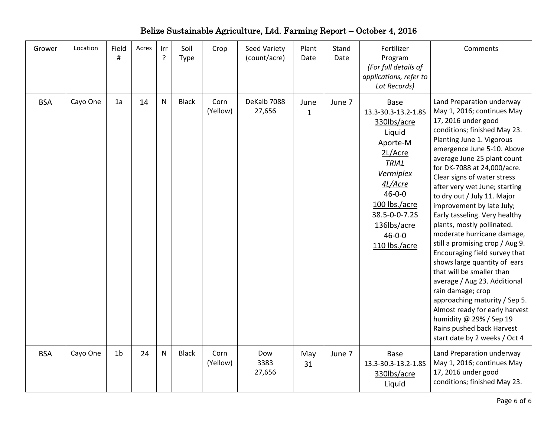| Grower     | Location | Field<br>#     | Acres | Irr<br>? | Soil<br><b>Type</b> | Crop             | Seed Variety<br>(count/acre) | Plant<br>Date        | Stand<br>Date | Fertilizer<br>Program<br>(For full details of<br>applications, refer to<br>Lot Records)                                                                                                                                      | Comments                                                                                                                                                                                                                                                                                                                                                                                                                                                                                                                                                                                                                                                                                                                                                                                                           |
|------------|----------|----------------|-------|----------|---------------------|------------------|------------------------------|----------------------|---------------|------------------------------------------------------------------------------------------------------------------------------------------------------------------------------------------------------------------------------|--------------------------------------------------------------------------------------------------------------------------------------------------------------------------------------------------------------------------------------------------------------------------------------------------------------------------------------------------------------------------------------------------------------------------------------------------------------------------------------------------------------------------------------------------------------------------------------------------------------------------------------------------------------------------------------------------------------------------------------------------------------------------------------------------------------------|
| <b>BSA</b> | Cayo One | 1a             | 14    | N        | <b>Black</b>        | Corn<br>(Yellow) | DeKalb 7088<br>27,656        | June<br>$\mathbf{1}$ | June 7        | <b>Base</b><br>13.3-30.3-13.2-1.8S<br>330lbs/acre<br>Liquid<br>Aporte-M<br>2L/Acre<br><b>TRIAL</b><br>Vermiplex<br>4L/Acre<br>$46 - 0 - 0$<br>100 lbs./acre<br>38.5-0-0-7.2S<br>136lbs/acre<br>$46 - 0 - 0$<br>110 lbs./acre | Land Preparation underway<br>May 1, 2016; continues May<br>17, 2016 under good<br>conditions; finished May 23.<br>Planting June 1. Vigorous<br>emergence June 5-10. Above<br>average June 25 plant count<br>for DK-7088 at 24,000/acre.<br>Clear signs of water stress<br>after very wet June; starting<br>to dry out / July 11. Major<br>improvement by late July;<br>Early tasseling. Very healthy<br>plants, mostly pollinated.<br>moderate hurricane damage,<br>still a promising crop / Aug 9.<br>Encouraging field survey that<br>shows large quantity of ears<br>that will be smaller than<br>average / Aug 23. Additional<br>rain damage; crop<br>approaching maturity / Sep 5.<br>Almost ready for early harvest<br>humidity @ 29% / Sep 19<br>Rains pushed back Harvest<br>start date by 2 weeks / Oct 4 |
| <b>BSA</b> | Cayo One | 1 <sub>b</sub> | 24    | N        | <b>Black</b>        | Corn<br>(Yellow) | Dow<br>3383<br>27,656        | May<br>31            | June 7        | <b>Base</b><br>13.3-30.3-13.2-1.8S<br>330lbs/acre<br>Liquid                                                                                                                                                                  | Land Preparation underway<br>May 1, 2016; continues May<br>17, 2016 under good<br>conditions; finished May 23.                                                                                                                                                                                                                                                                                                                                                                                                                                                                                                                                                                                                                                                                                                     |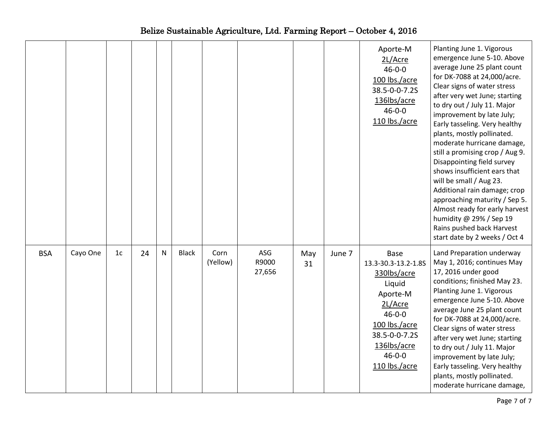|            |          |                |    |              |              |                  |                        |           |        | Aporte-M<br>2L/Acre<br>$46 - 0 - 0$<br>100 lbs./acre<br>38.5-0-0-7.2S<br>136lbs/acre<br>$46 - 0 - 0$<br>110 lbs./acre                                                         | Planting June 1. Vigorous<br>emergence June 5-10. Above<br>average June 25 plant count<br>for DK-7088 at 24,000/acre.<br>Clear signs of water stress<br>after very wet June; starting<br>to dry out / July 11. Major<br>improvement by late July;<br>Early tasseling. Very healthy<br>plants, mostly pollinated.<br>moderate hurricane damage,<br>still a promising crop / Aug 9.<br>Disappointing field survey<br>shows insufficient ears that<br>will be small / Aug 23.<br>Additional rain damage; crop<br>approaching maturity / Sep 5.<br>Almost ready for early harvest<br>humidity @ 29% / Sep 19<br>Rains pushed back Harvest<br>start date by 2 weeks / Oct 4 |
|------------|----------|----------------|----|--------------|--------------|------------------|------------------------|-----------|--------|-------------------------------------------------------------------------------------------------------------------------------------------------------------------------------|------------------------------------------------------------------------------------------------------------------------------------------------------------------------------------------------------------------------------------------------------------------------------------------------------------------------------------------------------------------------------------------------------------------------------------------------------------------------------------------------------------------------------------------------------------------------------------------------------------------------------------------------------------------------|
| <b>BSA</b> | Cayo One | 1 <sub>c</sub> | 24 | $\mathsf{N}$ | <b>Black</b> | Corn<br>(Yellow) | ASG<br>R9000<br>27,656 | May<br>31 | June 7 | Base<br>13.3-30.3-13.2-1.8S<br>330lbs/acre<br>Liquid<br>Aporte-M<br>2L/Acre<br>$46 - 0 - 0$<br>100 lbs./acre<br>38.5-0-0-7.2S<br>136lbs/acre<br>$46 - 0 - 0$<br>110 lbs./acre | Land Preparation underway<br>May 1, 2016; continues May<br>17, 2016 under good<br>conditions; finished May 23.<br>Planting June 1. Vigorous<br>emergence June 5-10. Above<br>average June 25 plant count<br>for DK-7088 at 24,000/acre.<br>Clear signs of water stress<br>after very wet June; starting<br>to dry out / July 11. Major<br>improvement by late July;<br>Early tasseling. Very healthy<br>plants, mostly pollinated.<br>moderate hurricane damage,                                                                                                                                                                                                       |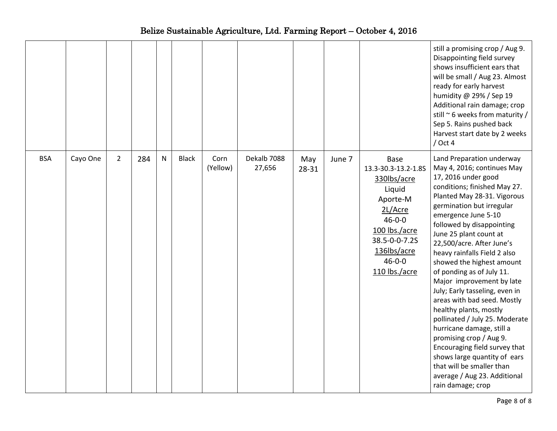|            |          |                |     |           |              |                  |                       |              |        |                                                                                                                                                                                      | still a promising crop / Aug 9.<br>Disappointing field survey<br>shows insufficient ears that<br>will be small / Aug 23. Almost<br>ready for early harvest<br>humidity @ 29% / Sep 19<br>Additional rain damage; crop<br>still $\sim$ 6 weeks from maturity /<br>Sep 5. Rains pushed back<br>Harvest start date by 2 weeks<br>$/$ Oct 4                                                                                                                                                                                                                                                                                                                                                                                                              |
|------------|----------|----------------|-----|-----------|--------------|------------------|-----------------------|--------------|--------|--------------------------------------------------------------------------------------------------------------------------------------------------------------------------------------|------------------------------------------------------------------------------------------------------------------------------------------------------------------------------------------------------------------------------------------------------------------------------------------------------------------------------------------------------------------------------------------------------------------------------------------------------------------------------------------------------------------------------------------------------------------------------------------------------------------------------------------------------------------------------------------------------------------------------------------------------|
| <b>BSA</b> | Cayo One | $\overline{2}$ | 284 | ${\sf N}$ | <b>Black</b> | Corn<br>(Yellow) | Dekalb 7088<br>27,656 | May<br>28-31 | June 7 | <b>Base</b><br>13.3-30.3-13.2-1.8S<br>330lbs/acre<br>Liquid<br>Aporte-M<br>2L/Acre<br>$46 - 0 - 0$<br>100 lbs./acre<br>38.5-0-0-7.2S<br>136lbs/acre<br>$46 - 0 - 0$<br>110 lbs./acre | Land Preparation underway<br>May 4, 2016; continues May<br>17, 2016 under good<br>conditions; finished May 27.<br>Planted May 28-31. Vigorous<br>germination but irregular<br>emergence June 5-10<br>followed by disappointing<br>June 25 plant count at<br>22,500/acre. After June's<br>heavy rainfalls Field 2 also<br>showed the highest amount<br>of ponding as of July 11.<br>Major improvement by late<br>July; Early tasseling, even in<br>areas with bad seed. Mostly<br>healthy plants, mostly<br>pollinated / July 25. Moderate<br>hurricane damage, still a<br>promising crop / Aug 9.<br>Encouraging field survey that<br>shows large quantity of ears<br>that will be smaller than<br>average / Aug 23. Additional<br>rain damage; crop |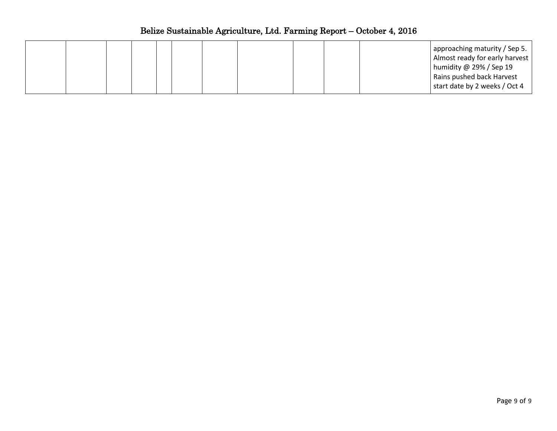|  |  |  |  |  |  |  |  |  |  | approaching maturity / Sep 5.  <br>Almost ready for early harvest<br>humidity @ 29% / Sep 19<br>Rains pushed back Harvest<br>start date by 2 weeks / Oct 4 |
|--|--|--|--|--|--|--|--|--|--|------------------------------------------------------------------------------------------------------------------------------------------------------------|
|--|--|--|--|--|--|--|--|--|--|------------------------------------------------------------------------------------------------------------------------------------------------------------|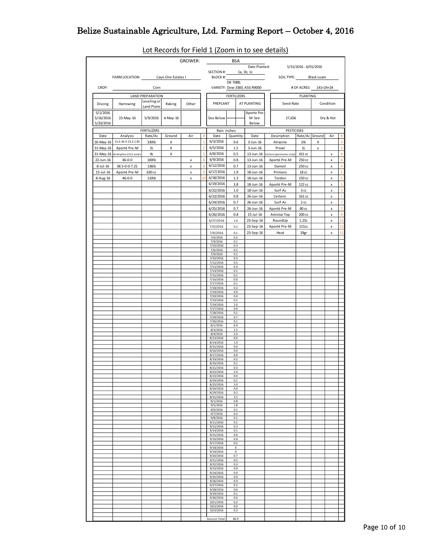|           |                                                                | $\frac{1}{2}$ and $\frac{1}{2}$ and $\frac{1}{2}$ and $\frac{1}{2}$ and $\frac{1}{2}$ are $\frac{1}{2}$ and $\frac{1}{2}$ are $\frac{1}{2}$ and $\frac{1}{2}$ are $\frac{1}{2}$ and $\frac{1}{2}$ are $\frac{1}{2}$ and $\frac{1}{2}$ are $\frac{1}{2}$ and $\frac{1}{2}$ are $\frac{1}{2}$ a |        |                           |                     |                         |          |                              |                      |                                    |                                       |              |                    |                         |
|-----------|----------------------------------------------------------------|-----------------------------------------------------------------------------------------------------------------------------------------------------------------------------------------------------------------------------------------------------------------------------------------------|--------|---------------------------|---------------------|-------------------------|----------|------------------------------|----------------------|------------------------------------|---------------------------------------|--------------|--------------------|-------------------------|
|           |                                                                |                                                                                                                                                                                                                                                                                               |        |                           |                     | GROWER:                 |          | BSA                          |                      |                                    |                                       |              |                    |                         |
|           |                                                                |                                                                                                                                                                                                                                                                                               |        |                           |                     |                         |          |                              | Date Planted:        |                                    | 5/31/2016 - 6/01/2016                 |              |                    |                         |
|           | FARM LOCATION: Cayo One Estates I                              |                                                                                                                                                                                                                                                                                               |        |                           |                     | SECTION #: $1a, 1b, 1c$ |          |                              | BLOCK #:             | SOIL TYPE: Black Loam              |                                       |              |                    |                         |
|           |                                                                |                                                                                                                                                                                                                                                                                               |        |                           |                     |                         | DK 7088; |                              |                      |                                    |                                       |              |                    |                         |
| CROP:     |                                                                | <b>Corn</b>                                                                                                                                                                                                                                                                                   |        |                           |                     |                         |          | VARIETY: Dow 3383; ASG R9000 |                      | # OF ACRES: 141+24+24              |                                       |              |                    |                         |
|           | <b>LAND PREPARATION</b>                                        |                                                                                                                                                                                                                                                                                               |        |                           |                     | FERTILIZERS             |          |                              | PLANTING             |                                    |                                       |              |                    |                         |
| Discing   | Harrowing                                                      | Leveling or                                                                                                                                                                                                                                                                                   | Raking | Other                     |                     | PREPLANT                |          |                              | AT PLANTING          | Seed-Rate                          |                                       |              | Condition          |                         |
|           |                                                                | Land Plane                                                                                                                                                                                                                                                                                    |        |                           |                     |                         |          |                              |                      |                                    |                                       |              |                    |                         |
| 5/1/2016  |                                                                |                                                                                                                                                                                                                                                                                               |        |                           |                     |                         |          |                              | Aporte Pre-          |                                    |                                       |              |                    |                         |
| 5/16/2016 | 23-May-16                                                      | 5/9/2016 4-May-16                                                                                                                                                                                                                                                                             |        |                           |                     | See Below               |          |                              | M See                | 27,656                             |                                       |              | Dry & Hot          |                         |
| 5/20/2016 |                                                                |                                                                                                                                                                                                                                                                                               |        |                           |                     |                         |          |                              | Below                |                                    |                                       |              |                    |                         |
| Date      |                                                                | <b>FERTILIZERS</b>                                                                                                                                                                                                                                                                            |        |                           |                     | Rain inches             |          |                              |                      | <b>PESTICIDES</b><br>Description   |                                       |              |                    |                         |
|           | Analysis Rate/Ac Ground<br>26-May-16 13.3-30.3-13.2-1.85 330lb |                                                                                                                                                                                                                                                                                               |        | Air                       | #<br>$\overline{1}$ | Date<br>6/3/2016        |          |                              | Quantity Date        |                                    | Rate/Ac Ground Air<br>11 <sub>b</sub> | X            |                    | #<br>3                  |
|           |                                                                | 2L                                                                                                                                                                                                                                                                                            | x<br>X |                           | $\overline{2}$      | 6/5/2016                |          | 0.6<br>1.5                   | 3-Jun-16<br>3-Jun-16 | Atrazine<br>Prowl                  | 1L                                    |              |                    | $\overline{3}$          |
|           | 31-May-16 Aporté Pre-M<br>31-May-16 vermiplex (111 acres       | 4L                                                                                                                                                                                                                                                                                            | X      |                           | $\overline{2}$      | 6/8/2016                |          | 0.5                          |                      | 13-Jun-16 Certero (perimeter only) | 161 cc                                | $\mathbf{x}$ |                    | $\overline{4}$          |
| 22-Jun-16 | $46 - 0 - 0$                                                   | 100lb                                                                                                                                                                                                                                                                                         |        | $\boldsymbol{\mathsf{x}}$ | 6 <sup>1</sup>      | 6/9/2016                |          | 0.8                          | 13-Jun-16            | Aporté Pre-M                       | 250 сс                                |              | x<br>x             | $\overline{4}$          |
|           | 8-Jul-16 38.5-0-0-7.2S                                         | 136lb                                                                                                                                                                                                                                                                                         |        | $\boldsymbol{\mathsf{x}}$ | 8 <sup>°</sup>      | 6/12/2016               |          | 0.7                          | 13-Jun-16            | Damoil                             | 250 cc                                |              | x                  | $\overline{4}$          |
|           | 15-Jul-16 Aporté Pre-M                                         | 630 cc                                                                                                                                                                                                                                                                                        |        | $\mathsf{x}$              | 9                   | 6/17/2016               |          | 1.9                          | 18-Jun-16            | Primero                            | 18 сс                                 |              | ×                  | 5                       |
| 8-Aug-16  | 46-0-0                                                         | 110lb                                                                                                                                                                                                                                                                                         |        | $\boldsymbol{\mathsf{x}}$ | 10                  | 6/18/2016               |          | 1.3                          | 18-Jun-16            | Tordon                             | 150 cc                                |              | x                  | $\overline{\mathbf{5}}$ |
|           |                                                                |                                                                                                                                                                                                                                                                                               |        |                           |                     | 6/19/2016               |          | 3.8                          | 18-Jun-16            | Aporté Pre-M                       | 122 cc                                |              | $\mathbf{x}$       | $\overline{\mathbf{5}}$ |
|           |                                                                |                                                                                                                                                                                                                                                                                               |        |                           |                     | 6/22/2016               |          | 1.0                          | 18-Jun-16            | Surf-Ac                            | 3cc                                   |              | $\pmb{\mathsf{x}}$ | $\overline{\mathbf{5}}$ |
|           |                                                                |                                                                                                                                                                                                                                                                                               |        |                           |                     | 6/23/2016               |          | 0.8                          | 26-Jun-16            | Certero                            | 161 cc                                |              | x                  | $\overline{7}$          |
|           |                                                                |                                                                                                                                                                                                                                                                                               |        |                           |                     | 6/24/2016               |          | 0.7                          | 26-Jun-16            | Surf-Ac                            | 2cc                                   |              | $\mathbf x$        | $\overline{7}$          |
|           |                                                                |                                                                                                                                                                                                                                                                                               |        |                           |                     | 6/25/2016               |          | 0.7                          | 26-Jun-16            | Aporté Pre-M                       | 80 cc                                 |              | $\mathsf{x}^-$     | $\overline{7}$          |
|           |                                                                |                                                                                                                                                                                                                                                                                               |        |                           |                     | 6/26/2016               |          | 0.8                          | 15-Jul-16            | Amistar Top                        | 200 cc                                |              | $\mathbf{x}$       | 9                       |
|           |                                                                |                                                                                                                                                                                                                                                                                               |        |                           |                     | 6/27/2016               |          | 1.9                          | 23-Sep-16            | RoundUp                            | 1.25L                                 |              | x                  | 11                      |
|           |                                                                |                                                                                                                                                                                                                                                                                               |        |                           |                     | 7/3/2016                |          | 0.2                          | 23-Sep-16            | Aporté Pre-M                       | 121cc                                 |              | x                  | 11                      |
|           |                                                                |                                                                                                                                                                                                                                                                                               |        |                           |                     | 7/4/2016                |          | $0.1\,$                      | 23-Sep-16            | Heat                               | 19gr                                  |              | x                  | 11                      |
|           |                                                                |                                                                                                                                                                                                                                                                                               |        |                           |                     | 7/6/2016                |          | 0.2                          |                      |                                    |                                       |              |                    |                         |
|           |                                                                |                                                                                                                                                                                                                                                                                               |        |                           |                     | 7/9/2016<br>7/10/2016   |          | 0.1<br>0.3                   |                      |                                    |                                       |              |                    |                         |
|           |                                                                |                                                                                                                                                                                                                                                                                               |        |                           |                     | 7/6/2016                |          | 0.2                          |                      |                                    |                                       |              |                    |                         |
|           |                                                                |                                                                                                                                                                                                                                                                                               |        |                           |                     | 7/9/2016<br>7/10/2016   |          | 0.1<br>0.3                   |                      |                                    |                                       |              |                    |                         |
|           |                                                                |                                                                                                                                                                                                                                                                                               |        |                           |                     | 7/12/2016               |          | 0.5                          |                      |                                    |                                       |              |                    |                         |
|           |                                                                |                                                                                                                                                                                                                                                                                               |        |                           |                     | 7/13/2016<br>7/14/2016  |          | 0.4<br>0.1                   |                      |                                    |                                       |              |                    |                         |
|           |                                                                |                                                                                                                                                                                                                                                                                               |        |                           |                     | 7/15/2016               |          | 0.1                          |                      |                                    |                                       |              |                    |                         |
|           |                                                                |                                                                                                                                                                                                                                                                                               |        |                           |                     | 7/16/2016               | 0.1      | 0.0                          |                      |                                    |                                       |              |                    |                         |
|           |                                                                |                                                                                                                                                                                                                                                                                               |        |                           |                     | 7/17/2016<br>7/18/2016  |          | 0.2                          |                      |                                    |                                       |              |                    |                         |
|           |                                                                |                                                                                                                                                                                                                                                                                               |        |                           |                     | 7/19/2016               |          | 0.9                          |                      |                                    |                                       |              |                    |                         |
|           |                                                                |                                                                                                                                                                                                                                                                                               |        |                           |                     | 7/20/2016<br>7/23/2016  |          | 0.4<br>0.1                   |                      |                                    |                                       |              |                    |                         |
|           |                                                                |                                                                                                                                                                                                                                                                                               |        |                           |                     | 7/24/2016               |          | $1.0\,$                      |                      |                                    |                                       |              |                    |                         |
|           |                                                                |                                                                                                                                                                                                                                                                                               |        |                           |                     | 7/27/2016<br>7/28/2016  |          | 0.0<br>0.1                   |                      |                                    |                                       |              |                    |                         |
|           |                                                                |                                                                                                                                                                                                                                                                                               |        |                           |                     | 7/29/2016               |          | 0.7                          |                      |                                    |                                       |              |                    |                         |
|           |                                                                |                                                                                                                                                                                                                                                                                               |        |                           |                     | 7/30/2016<br>8/1/2016   |          | 0.1<br>0.4                   |                      |                                    |                                       |              |                    |                         |
|           |                                                                |                                                                                                                                                                                                                                                                                               |        |                           |                     | 8/3/2016                |          | 1.5                          |                      |                                    |                                       |              |                    |                         |
|           |                                                                |                                                                                                                                                                                                                                                                                               |        |                           |                     | 8/4/2016<br>8/13/2016   |          | 2.4<br>0.0                   |                      |                                    |                                       |              |                    |                         |
|           |                                                                |                                                                                                                                                                                                                                                                                               |        |                           |                     | 8/14/2016               |          | $1.4\,$                      |                      |                                    |                                       |              |                    |                         |
|           |                                                                |                                                                                                                                                                                                                                                                                               |        |                           |                     | 8/15/2016<br>8/16/2016  |          | 0.0<br>0.0                   |                      |                                    |                                       |              |                    |                         |
|           |                                                                |                                                                                                                                                                                                                                                                                               |        |                           |                     | 8/17/2016               |          | 0.0                          |                      |                                    |                                       |              |                    |                         |
|           |                                                                |                                                                                                                                                                                                                                                                                               |        |                           |                     | 8/19/2016<br>8/20/2016  |          | 0.2<br>0.1                   |                      |                                    |                                       |              |                    |                         |
|           |                                                                |                                                                                                                                                                                                                                                                                               |        |                           |                     | 8/21/2016               |          |                              |                      |                                    |                                       |              |                    |                         |
|           |                                                                |                                                                                                                                                                                                                                                                                               |        |                           |                     | 8/22/2016<br>8/23/2016  |          | 2.4<br>0.0                   |                      |                                    |                                       |              |                    |                         |
|           |                                                                |                                                                                                                                                                                                                                                                                               |        |                           |                     | 8/24/2016               |          | 0.1                          |                      |                                    |                                       |              |                    |                         |
|           |                                                                |                                                                                                                                                                                                                                                                                               |        |                           |                     | 8/25/2016               |          | $1.0$<br>0.0                 |                      |                                    |                                       |              |                    |                         |
|           |                                                                |                                                                                                                                                                                                                                                                                               |        |                           |                     | 8/26/2016<br>8/29/2016  |          | 0.2                          |                      |                                    |                                       |              |                    |                         |
|           |                                                                |                                                                                                                                                                                                                                                                                               |        |                           |                     | 8/31/2016               |          | 3.5                          |                      |                                    |                                       |              |                    |                         |
|           |                                                                |                                                                                                                                                                                                                                                                                               |        |                           |                     | 9/1/2016<br>9/5/2016    |          | 0.8<br>1.8                   |                      |                                    |                                       |              |                    |                         |
|           |                                                                |                                                                                                                                                                                                                                                                                               |        |                           |                     | 9/6/2016                |          | 0.1                          |                      |                                    |                                       |              |                    |                         |
|           |                                                                |                                                                                                                                                                                                                                                                                               |        |                           |                     | 9/7/2016<br>9/8/2016    |          | 0.2<br>0.1                   |                      |                                    |                                       |              |                    |                         |
|           |                                                                |                                                                                                                                                                                                                                                                                               |        |                           |                     | 9/11/2016               |          | 0.1                          |                      |                                    |                                       |              |                    |                         |
|           |                                                                |                                                                                                                                                                                                                                                                                               |        |                           |                     | 9/12/2016<br>9/14/2016  |          | 0.3<br>$0.1\,$               |                      |                                    |                                       |              |                    |                         |
|           |                                                                |                                                                                                                                                                                                                                                                                               |        |                           |                     | 9/15/2016               |          | 0.0                          |                      |                                    |                                       |              |                    |                         |
|           |                                                                |                                                                                                                                                                                                                                                                                               |        |                           |                     | 9/16/2016<br>9/17/2016  |          | 0.4<br>0.2                   |                      |                                    |                                       |              |                    |                         |
|           |                                                                |                                                                                                                                                                                                                                                                                               |        |                           |                     | 9/18/2016               |          | 0                            |                      |                                    |                                       |              |                    |                         |
|           |                                                                |                                                                                                                                                                                                                                                                                               |        |                           |                     | 9/19/2016<br>9/20/2016  |          | $\mathbf 0$<br>0.7           |                      |                                    |                                       |              |                    |                         |
|           |                                                                |                                                                                                                                                                                                                                                                                               |        |                           |                     | 9/21/2016               |          | 0.5                          |                      |                                    |                                       |              |                    |                         |
|           |                                                                |                                                                                                                                                                                                                                                                                               |        |                           |                     | 9/22/2016<br>9/23/2016  |          | 0.3<br>0.9                   |                      |                                    |                                       |              |                    |                         |
|           |                                                                |                                                                                                                                                                                                                                                                                               |        |                           |                     | 9/24/2016               |          | 0.9                          |                      |                                    |                                       |              |                    |                         |
|           |                                                                |                                                                                                                                                                                                                                                                                               |        |                           |                     | 9/25/2016<br>9/26/2016  |          | 0.9<br>0.4                   |                      |                                    |                                       |              |                    |                         |
|           |                                                                |                                                                                                                                                                                                                                                                                               |        |                           |                     | 9/27/2016               |          | 0.2                          |                      |                                    |                                       |              |                    |                         |
|           |                                                                |                                                                                                                                                                                                                                                                                               |        |                           |                     | 9/28/2016<br>9/29/2016  |          | 0.0<br>0.1                   |                      |                                    |                                       |              |                    |                         |
|           |                                                                |                                                                                                                                                                                                                                                                                               |        |                           |                     | 9/30/2016               |          | 0.6                          |                      |                                    |                                       |              |                    |                         |
|           |                                                                |                                                                                                                                                                                                                                                                                               |        |                           |                     | 10/1/2016               |          | 0.2                          |                      |                                    |                                       |              |                    |                         |
|           |                                                                |                                                                                                                                                                                                                                                                                               |        |                           |                     | 10/2/2016<br>10/3/2016  |          | 0.0<br>0.3                   |                      |                                    |                                       |              |                    |                         |
|           |                                                                |                                                                                                                                                                                                                                                                                               |        |                           |                     |                         |          |                              |                      |                                    |                                       |              |                    |                         |
|           |                                                                |                                                                                                                                                                                                                                                                                               |        |                           |                     | Season Total:           |          | 46.9                         |                      |                                    |                                       |              |                    |                         |

# Lot Records for Field 1 (Zoom in to see details)